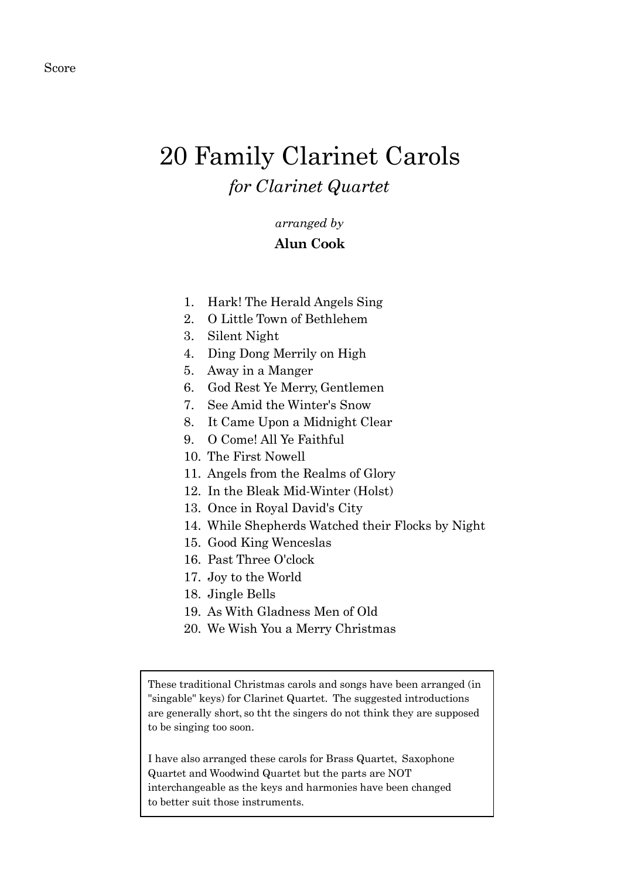## 20 Family Clarinet Carols *for Clarinet Quartet*

## *arranged by*

## **Alun Cook**

- 1. Hark! The Herald Angels Sing
- 2. O Little Town of Bethlehem
- 3. Silent Night
- 4. Ding Dong Merrily on High
- 5. Away in a Manger
- 6. God Rest Ye Merry, Gentlemen
- 7. See Amid the Winter's Snow
- 8. It Came Upon a Midnight Clear
- 9. O Come! All Ye Faithful
- 10. The First Nowell
- 11. Angels from the Realms of Glory
- 12. In the Bleak Mid-Winter (Holst)
- 13. Once in Royal David's City
- 14. While Shepherds Watched their Flocks by Night
- 15. Good King Wenceslas
- 16. Past Three O'clock
- 17. Joy to the World
- 18. Jingle Bells
- 19. As With Gladness Men of Old
- 20. We Wish You a Merry Christmas

These traditional Christmas carols and songs have been arranged (in "singable" keys) for Clarinet Quartet. The suggested introductions are generally short, so tht the singers do not think they are supposed to be singing too soon.

I have also arranged these carols for Brass Quartet, Saxophone Quartet and Woodwind Quartet but the parts are NOT interchangeable as the keys and harmonies have been changed to better suit those instruments.